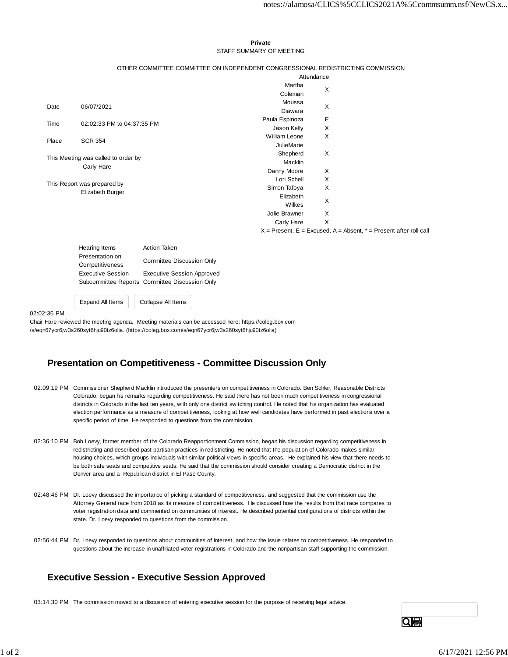#### **Private** STAFF SUMMARY OF MEETING

#### OTHER COMMITTEE COMMITTEE ON INDEPENDENT CONGRESSIONAL REDISTRICTING COMMISSION

|                                     |                            | Attendance           |   |                                                                           |
|-------------------------------------|----------------------------|----------------------|---|---------------------------------------------------------------------------|
|                                     |                            | Martha               | X |                                                                           |
|                                     |                            | Coleman              |   |                                                                           |
| Date                                | 06/07/2021                 | Moussa               | X |                                                                           |
|                                     |                            | Diawara              |   |                                                                           |
| Time                                | 02:02:33 PM to 04:37:35 PM | Paula Espinoza       | Е |                                                                           |
|                                     |                            | Jason Kelly          | X |                                                                           |
| Place                               | <b>SCR 354</b>             | <b>William Leone</b> | X |                                                                           |
|                                     |                            | <b>JulieMarie</b>    |   |                                                                           |
| This Meeting was called to order by |                            | Shepherd             | X |                                                                           |
|                                     |                            | Macklin              |   |                                                                           |
|                                     | Carly Hare                 | Danny Moore          | X |                                                                           |
| This Report was prepared by         |                            | Lori Schell          | X |                                                                           |
|                                     |                            | Simon Tafoya         | X |                                                                           |
|                                     | Elizabeth Burger           | Elizabeth            | X |                                                                           |
|                                     |                            | Wilkes               |   |                                                                           |
|                                     |                            | Jolie Brawner        | X |                                                                           |
|                                     |                            | Carly Hare           | X |                                                                           |
|                                     |                            |                      |   | $X =$ Present, $E =$ Excused, $A =$ Absent, $* =$ Present after roll call |

Hearing Items **Action Taken** Presentation on Competitiveness Committee Discussion Only Executive Session Executive Session Approved Subcommittee Reports Committee Discussion Only

Expand All Items | Collapse All Items

02:02:36 PM

Chair Hare reviewed the meeting agenda. Meeting materials can be accessed here: https://coleg.box.com /s/eqn67ycr6jw3s260syt6hju90tz6olia. (https://coleg.box.com/s/eqn67ycr6jw3s260syt6hju90tz6olia)

# **Presentation on Competitiveness - Committee Discussion Only**

- 02:09:19 PM Commissioner Shepherd Macklin introduced the presenters on competitiveness in Colorado. Ben Schler, Reasonable Districts Colorado, began his remarks regarding competitiveness. He said there has not been much competitiveness in congressional districts in Colorado in the last ten years, with only one district switching control. He noted that his organization has evaluated election performance as a measure of competitiveness, looking at how well candidates have performed in past elections over a specific period of time. He responded to questions from the commission.
- 02:36:10 PM Bob Loevy, former member of the Colorado Reapportionment Commission, began his discussion regarding competitiveness in redistricting and described past partisan practices in redistricting. He noted that the population of Colorado makes similar housing choices, which groups individuals with similar political views in specific areas. He explained his view that there needs to be both safe seats and competitive seats. He said that the commission should consider creating a Democratic district in the Denver area and a Republican district in El Paso County.
- 02:48:46 PM Dr. Loevy discussed the importance of picking a standard of competitiveness, and suggested that the commission use the Attorney General race from 2018 as its measure of competitiveness. He discussed how the results from that race compares to voter registration data and commented on communities of interest. He described potential configurations of districts within the state. Dr. Loevy responded to questions from the commission.
- 02:56:44 PM Dr. Loevy responded to questions about communities of interest, and how the issue relates to competitiveness. He responded to questions about the increase in unaffiliated voter registrations in Colorado and the nonpartisan staff supporting the commission.

# **Executive Session - Executive Session Approved**

03:14:30 PM The commission moved to a discussion of entering executive session for the purpose of receiving legal advice.

QIA